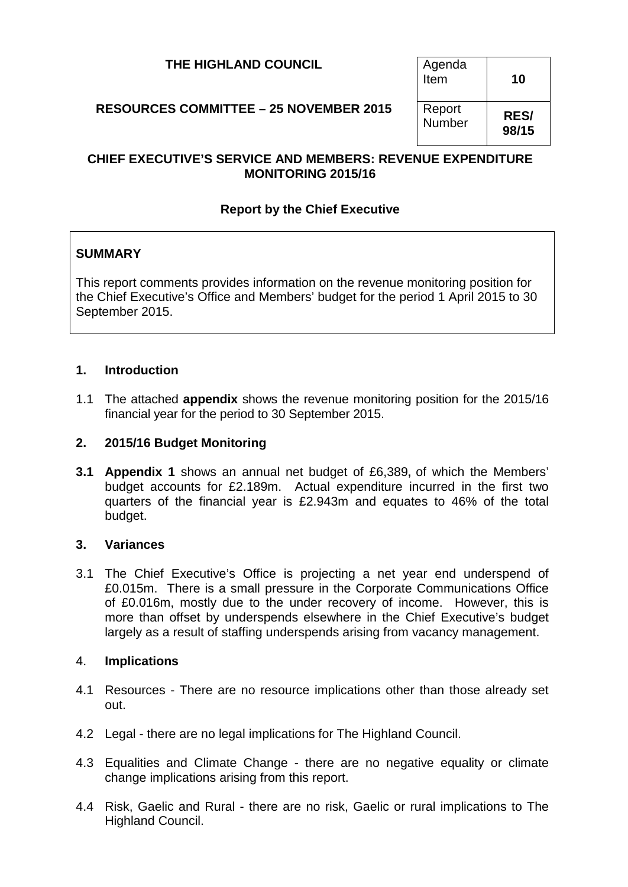| THE HIGHLAND COUNCIL                          | Agenda<br>Item   | 10                   |
|-----------------------------------------------|------------------|----------------------|
| <b>RESOURCES COMMITTEE - 25 NOVEMBER 2015</b> | Report<br>Number | <b>RES/</b><br>98/15 |

## **CHIEF EXECUTIVE'S SERVICE AND MEMBERS: REVENUE EXPENDITURE MONITORING 2015/16**

## **Report by the Chief Executive**

## **SUMMARY**

This report comments provides information on the revenue monitoring position for the Chief Executive's Office and Members' budget for the period 1 April 2015 to 30 September 2015.

#### **1. Introduction**

1.1 The attached **appendix** shows the revenue monitoring position for the 2015/16 financial year for the period to 30 September 2015.

#### **2. 2015/16 Budget Monitoring**

**3.1 Appendix 1** shows an annual net budget of £6,389**,** of which the Members' budget accounts for £2.189m. Actual expenditure incurred in the first two quarters of the financial year is £2.943m and equates to 46% of the total budget.

#### **3. Variances**

3.1 The Chief Executive's Office is projecting a net year end underspend of £0.015m. There is a small pressure in the Corporate Communications Office of £0.016m, mostly due to the under recovery of income. However, this is more than offset by underspends elsewhere in the Chief Executive's budget largely as a result of staffing underspends arising from vacancy management.

### 4. **Implications**

- 4.1 Resources There are no resource implications other than those already set out.
- 4.2 Legal there are no legal implications for The Highland Council.
- 4.3 Equalities and Climate Change there are no negative equality or climate change implications arising from this report.
- 4.4 Risk, Gaelic and Rural there are no risk, Gaelic or rural implications to The Highland Council.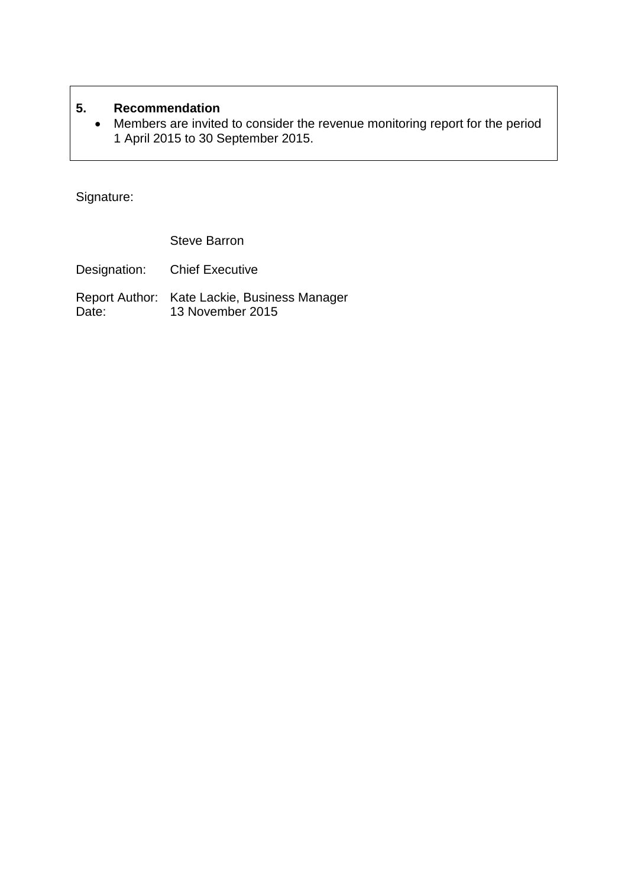# **5. Recommendation**

• Members are invited to consider the revenue monitoring report for the period 1 April 2015 to 30 September 2015.

Signature:

Steve Barron

Designation: Chief Executive

Report Author: Kate Lackie, Business Manager Date: 13 November 2015